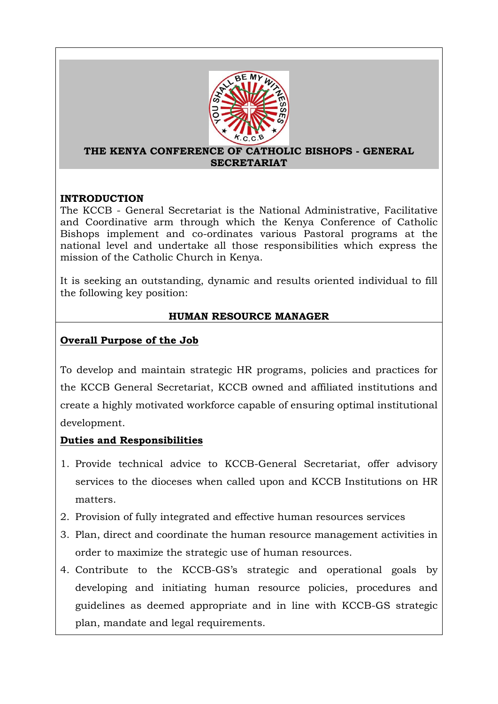

#### **THE KENYA CONFERENCE OF CATHOLIC BISHOPS - GENERAL SECRETARIAT**

### **INTRODUCTION**

The KCCB - General Secretariat is the National Administrative, Facilitative and Coordinative arm through which the Kenya Conference of Catholic Bishops implement and co-ordinates various Pastoral programs at the national level and undertake all those responsibilities which express the mission of the Catholic Church in Kenya.

It is seeking an outstanding, dynamic and results oriented individual to fill the following key position:

# **HUMAN RESOURCE MANAGER**

# **Overall Purpose of the Job**

To develop and maintain strategic HR programs, policies and practices for the KCCB General Secretariat, KCCB owned and affiliated institutions and create a highly motivated workforce capable of ensuring optimal institutional development.

# **Duties and Responsibilities**

- 1. Provide technical advice to KCCB-General Secretariat, offer advisory services to the dioceses when called upon and KCCB Institutions on HR matters.
- 2. Provision of fully integrated and effective human resources services
- 3. Plan, direct and coordinate the human resource management activities in order to maximize the strategic use of human resources.
- 4. Contribute to the KCCB-GS's strategic and operational goals by developing and initiating human resource policies, procedures and guidelines as deemed appropriate and in line with KCCB-GS strategic plan, mandate and legal requirements.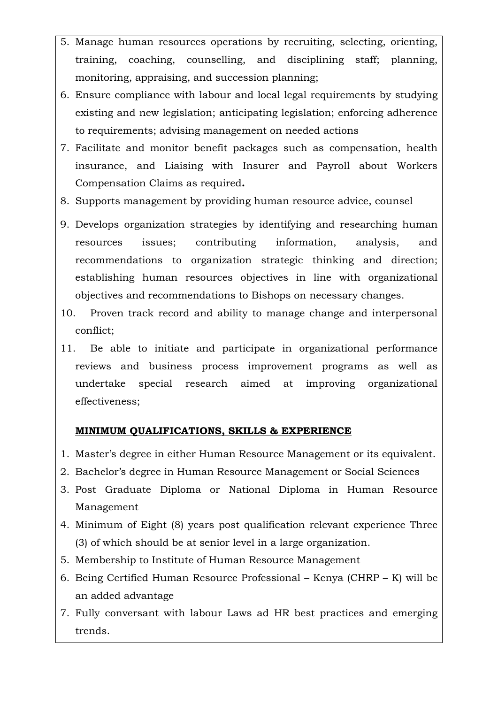- 5. Manage human resources operations by recruiting, selecting, orienting, training, coaching, counselling, and disciplining staff; planning, monitoring, appraising, and succession planning;
- 6. Ensure compliance with labour and local legal requirements by studying existing and new legislation; anticipating legislation; enforcing adherence to requirements; advising management on needed actions
- 7. Facilitate and monitor benefit packages such as compensation, health insurance, and Liaising with Insurer and Payroll about Workers Compensation Claims as required**.**
- 8. Supports management by providing human resource advice, counsel
- 9. Develops organization strategies by identifying and researching human resources issues; contributing information, analysis, and recommendations to organization strategic thinking and direction; establishing human resources objectives in line with organizational objectives and recommendations to Bishops on necessary changes.
- 10. Proven track record and ability to manage change and interpersonal conflict;
- 11. Be able to initiate and participate in organizational performance reviews and business process improvement programs as well as undertake special research aimed at improving organizational effectiveness;

### **MINIMUM QUALIFICATIONS, SKILLS & EXPERIENCE**

- 1. Master's degree in either Human Resource Management or its equivalent.
- 2. Bachelor's degree in Human Resource Management or Social Sciences
- 3. Post Graduate Diploma or National Diploma in Human Resource Management
- 4. Minimum of Eight (8) years post qualification relevant experience Three (3) of which should be at senior level in a large organization.
- 5. Membership to Institute of Human Resource Management
- 6. Being Certified Human Resource Professional Kenya (CHRP K) will be an added advantage
- 7. Fully conversant with labour Laws ad HR best practices and emerging trends.